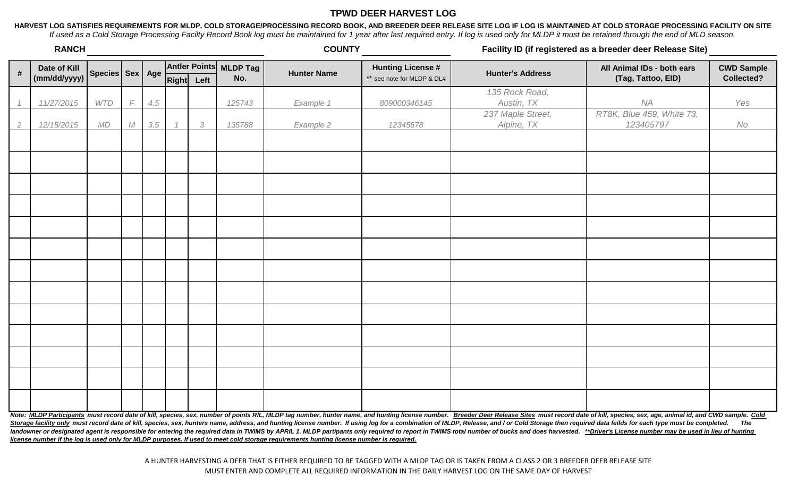## **TPWD DEER HARVEST LOG**

**HARVEST LOG SATISFIES REQUIREMENTS FOR MLDP, COLD STORAGE/PROCESSING RECORD BOOK, AND BREEDER DEER RELEASE SITE LOG IF LOG IS MAINTAINED AT COLD STORAGE PROCESSING FACILITY ON SITE** *If used as a Cold Storage Processing Facilty Record Book log must be maintained for 1 year after last required entry. If log is used only for MLDP it must be retained through the end of MLD season.*

|                | <b>RANCH</b>                 |                     |            |     |            |            |                               | <b>COUNTY</b>      |                                                        | Facility ID (if registered as a breeder deer Release Site) |                                                  |                                 |  |
|----------------|------------------------------|---------------------|------------|-----|------------|------------|-------------------------------|--------------------|--------------------------------------------------------|------------------------------------------------------------|--------------------------------------------------|---------------------------------|--|
| $\pmb{\#}$     | Date of Kill<br>(mm/dd/yyyy) | Species   Sex   Age |            |     | Right Left |            | Antler Points MLDP Tag<br>No. | <b>Hunter Name</b> | <b>Hunting License #</b><br>** see note for MLDP & DL# | <b>Hunter's Address</b>                                    | All Animal IDs - both ears<br>(Tag, Tattoo, EID) | <b>CWD Sample</b><br>Collected? |  |
|                | 11/27/2015                   | <b>WTD</b>          | $\sqrt{2}$ | 4.5 |            |            | 125743                        | Example 1          | 809000346145                                           | 135 Rock Road,<br>Austin, TX                               | NA                                               | Yes                             |  |
| $\overline{2}$ | 12/15/2015                   | MD                  | М          | 3.5 |            | $\sqrt{3}$ | 135788                        | Example 2          | 12345678                                               | 237 Maple Street,<br>Alpine, TX                            | RT8K, Blue 459, White 73,<br>123405797           | No                              |  |
|                |                              |                     |            |     |            |            |                               |                    |                                                        |                                                            |                                                  |                                 |  |
|                |                              |                     |            |     |            |            |                               |                    |                                                        |                                                            |                                                  |                                 |  |
|                |                              |                     |            |     |            |            |                               |                    |                                                        |                                                            |                                                  |                                 |  |
|                |                              |                     |            |     |            |            |                               |                    |                                                        |                                                            |                                                  |                                 |  |
|                |                              |                     |            |     |            |            |                               |                    |                                                        |                                                            |                                                  |                                 |  |
|                |                              |                     |            |     |            |            |                               |                    |                                                        |                                                            |                                                  |                                 |  |
|                |                              |                     |            |     |            |            |                               |                    |                                                        |                                                            |                                                  |                                 |  |
|                |                              |                     |            |     |            |            |                               |                    |                                                        |                                                            |                                                  |                                 |  |
|                |                              |                     |            |     |            |            |                               |                    |                                                        |                                                            |                                                  |                                 |  |
|                |                              |                     |            |     |            |            |                               |                    |                                                        |                                                            |                                                  |                                 |  |
|                |                              |                     |            |     |            |            |                               |                    |                                                        |                                                            |                                                  |                                 |  |
| $\cdots$       | $\overline{\phantom{a}}$     |                     |            |     |            |            |                               |                    |                                                        |                                                            |                                                  | $\sim$                          |  |

Note: MLDP Participants must record date of kill, species, sex, number of points R/L, MLDP tag number, hunter name, and hunting license number. Breeder Deer Release Sites must record date of kill, species, sex, age, animal Storage facility only must record date of kill, species, sex, hunters name, address, and hunting license number. If using log for a combination of MLDP, Release, and / or Cold Storage then required data feilds for each typ landowner or designated agent is responsible for entering the required data in TWIMS by APRIL 1. MLDP partipants only required to report in TWIMS total number of bucks and does harvested. \*\*Driver's License number may be u *license number if the log is used only for MLDP purposes. If used to meet cold storage requirements hunting license number is required.*